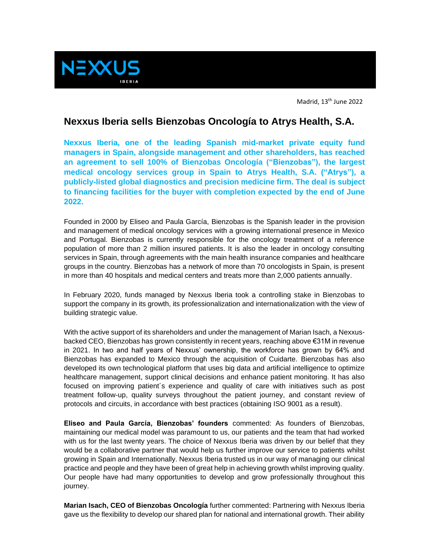

Madrid, 13th June 2022

## **Nexxus Iberia sells Bienzobas Oncología to Atrys Health, S.A.**

**Nexxus Iberia, one of the leading Spanish mid-market private equity fund managers in Spain, alongside management and other shareholders, has reached an agreement to sell 100% of Bienzobas Oncología ("Bienzobas"), the largest medical oncology services group in Spain to Atrys Health, S.A. ("Atrys"), a publicly-listed global diagnostics and precision medicine firm. The deal is subject to financing facilities for the buyer with completion expected by the end of June 2022.**

Founded in 2000 by Eliseo and Paula García, Bienzobas is the Spanish leader in the provision and management of medical oncology services with a growing international presence in Mexico and Portugal. Bienzobas is currently responsible for the oncology treatment of a reference population of more than 2 million insured patients. It is also the leader in oncology consulting services in Spain, through agreements with the main health insurance companies and healthcare groups in the country. Bienzobas has a network of more than 70 oncologists in Spain, is present in more than 40 hospitals and medical centers and treats more than 2,000 patients annually.

In February 2020, funds managed by Nexxus Iberia took a controlling stake in Bienzobas to support the company in its growth, its professionalization and internationalization with the view of building strategic value.

With the active support of its shareholders and under the management of Marian Isach, a Nexxusbacked CEO, Bienzobas has grown consistently in recent years, reaching above €31M in revenue in 2021. In two and half years of Nexxus' ownership, the workforce has grown by 64% and Bienzobas has expanded to Mexico through the acquisition of Cuidarte. Bienzobas has also developed its own technological platform that uses big data and artificial intelligence to optimize healthcare management, support clinical decisions and enhance patient monitoring. It has also focused on improving patient´s experience and quality of care with initiatives such as post treatment follow-up, quality surveys throughout the patient journey, and constant review of protocols and circuits, in accordance with best practices (obtaining ISO 9001 as a result).

**Eliseo and Paula García, Bienzobas' founders** commented: As founders of Bienzobas, maintaining our medical model was paramount to us, our patients and the team that had worked with us for the last twenty years. The choice of Nexxus Iberia was driven by our belief that they would be a collaborative partner that would help us further improve our service to patients whilst growing in Spain and Internationally. Nexxus Iberia trusted us in our way of managing our clinical practice and people and they have been of great help in achieving growth whilst improving quality. Our people have had many opportunities to develop and grow professionally throughout this journey.

**Marian Isach, CEO of Bienzobas Oncología** further commented: Partnering with Nexxus Iberia gave us the flexibility to develop our shared plan for national and international growth. Their ability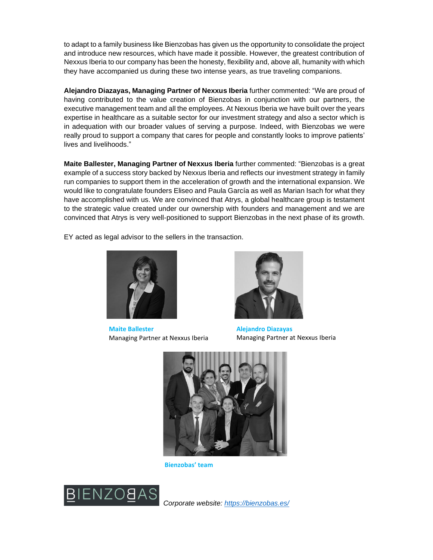to adapt to a family business like Bienzobas has given us the opportunity to consolidate the project and introduce new resources, which have made it possible. However, the greatest contribution of Nexxus Iberia to our company has been the honesty, flexibility and, above all, humanity with which they have accompanied us during these two intense years, as true traveling companions.

**Alejandro Diazayas, Managing Partner of Nexxus Iberia** further commented: "We are proud of having contributed to the value creation of Bienzobas in conjunction with our partners, the executive management team and all the employees. At Nexxus Iberia we have built over the years expertise in healthcare as a suitable sector for our investment strategy and also a sector which is in adequation with our broader values of serving a purpose. Indeed, with Bienzobas we were really proud to support a company that cares for people and constantly looks to improve patients' lives and livelihoods."

**Maite Ballester, Managing Partner of Nexxus Iberia** further commented: "Bienzobas is a great example of a success story backed by Nexxus Iberia and reflects our investment strategy in family run companies to support them in the acceleration of growth and the international expansion. We would like to congratulate founders Eliseo and Paula García as well as Marian Isach for what they have accomplished with us. We are convinced that Atrys, a global healthcare group is testament to the strategic value created under our ownership with founders and management and we are convinced that Atrys is very well-positioned to support Bienzobas in the next phase of its growth.

EY acted as legal advisor to the sellers in the transaction.



**Maite Ballester** Managing Partner at Nexxus Iberia



**Alejandro Diazayas** Managing Partner at Nexxus Iberia



**Bienzobas' team**



*Corporate website:<https://bienzobas.es/>*